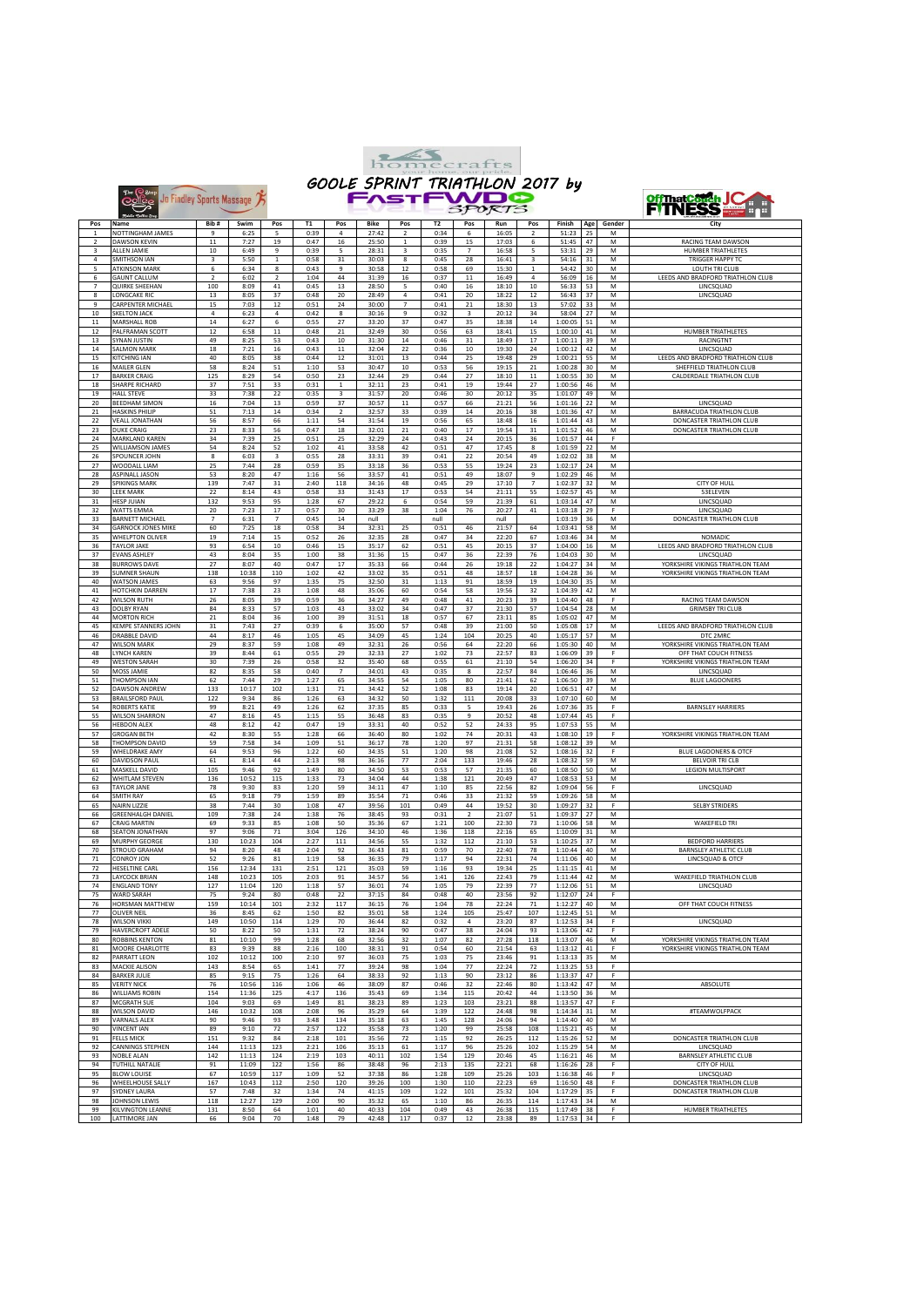

Belles Jo Findley Sports Massage



| Pos            | Name                               | Bib#                     | Swim  | Pos                     | T1   | Pos            | Bike           | Pos                     | T <sub>2</sub> | Pos                     | Run       | Pos            | Finish      |             | Gender | City                              |
|----------------|------------------------------------|--------------------------|-------|-------------------------|------|----------------|----------------|-------------------------|----------------|-------------------------|-----------|----------------|-------------|-------------|--------|-----------------------------------|
|                |                                    | $\ddot{q}$               |       | 5                       |      |                |                |                         |                |                         |           |                |             | Age         |        |                                   |
|                | NOTTINGHAM JAMES                   |                          | 6:25  |                         | 0:39 | $\overline{4}$ | 27:42          | $\overline{\mathbf{2}}$ | 0:34           | 6                       | 16:05     | $\overline{2}$ | 51:23       | 25          | M      |                                   |
| $\overline{2}$ | <b>DAWSON KEVIN</b>                | 11                       | 7:27  | 19                      | 0:47 | 16             | 25:50          | $\,$ 1 $\,$             | 0:39           | 15                      | 17:03     | 6              | 51:45       | 47          | M      | RACING TEAM DAWSON                |
| $\overline{a}$ | ALLEN JAMIE                        | 10                       | 6:49  | $\ddot{q}$              | 0:39 | 5              | 28:31          | $\overline{3}$          | 0:35           | $\overline{7}$          | 16:58     | 5              | 53:31       | 29          | M      | <b>HUMBER TRIATHLETES</b>         |
| $\overline{4}$ | SMITHSON IAN                       | 3                        | 5:50  | $\mathbf{1}$            | 0:58 | 31             | 30:03          | 8                       | 0:45           | 28                      | 16:41     | $\overline{3}$ | 54:16       | 31          | M      | <b>TRIGGER HAPPY TC</b>           |
| 5              | <b>ATKINSON MARK</b>               | 6                        | 6:34  | 8                       | 0:43 | $\overline{9}$ | 30:58          | 12                      | 0:58           | 69                      | 15:30     | $\,$ 1 $\,$    | 54:42       | 30          | M      | LOUTH TRI CLUB                    |
| 6              | <b>GAUNT CALLUM</b>                | $\overline{2}$           | 6:02  | $\overline{\mathbf{2}}$ | 1:04 | 44             | 31:39          | 16                      | 0:37           | 11                      | 16:49     | $\bf{4}$       | 56:09       | 16          | м      | LEEDS AND BRADFORD TRIATHLON CLUB |
| $\overline{7}$ | <b>QUIRKE SHEEHAN</b>              | 100                      | 8:09  | 41                      | 0:45 | 13             | 28:50          | 5                       | 0:40           | 16                      | 18:10     | 10             | 56:33       | 53          | М      | LINCSQUAD                         |
| 8              | LONGCAKE RIC                       | 13                       | 8:05  | 37                      | 0:48 | 20             | 28:49          | $\sqrt{4}$              | 0:41           | $20\,$                  | 18:22     | 12             | 56:43       | $_{\rm 37}$ | М      | LINCSQUAD                         |
| 9              | CARPENTER MICHAEL                  | 15                       | 7:03  | 12                      | 0:51 | 24             | 30:00          | $\overline{7}$          | 0:41           | 21                      | 18:30     | 13             | 57:02       | 33          | M      |                                   |
|                |                                    |                          |       |                         |      |                |                |                         |                |                         |           |                |             |             |        |                                   |
| 10             | <b>SKELTON JACK</b>                | $\sqrt{4}$               | 6:23  | $\overline{4}$          | 0:42 | 8              | 30:16          | 9                       | 0:32           | $\overline{\mathbf{3}}$ | 20:12     | 34             | 58:04       | 27          | M      |                                   |
| $11\,$         | MARSHALL ROB                       | 14                       | 6:27  | 6                       | 0:55 | 27             | 33:20          | 37                      | 0:47           | 35                      | 18:38     | 14             | 1:00:05     | 51          | М      |                                   |
| 12             | PALFRAMAN SCOTT                    | 12                       | 6:58  | 11                      | 0:48 | 21             | 32:49          | 30                      | 0:56           | 63                      | 18:41     | 15             | 1:00:10     | 41          | М      | HUMBER TRIATHLETES                |
| 13             | SYNAN JUSTIN                       | 49                       | 8:25  | 53                      | 0:43 | 10             | 31:30          | $14\,$                  | 0:46           | 31                      | 18:49     | 17             | 1:00:11     | 39          | М      | RACINGTNT                         |
| 14             | <b>SALMON MARK</b>                 | 18                       | 7:21  | $16\,$                  | 0:43 | $11\,$         | 32:04          | 22                      | 0:36           | $10\,$                  | 19:30     | 24             | 1:00:12     | 42          | М      | LINCSQUAD                         |
| 15             | <b>KITCHING IAN</b>                | 40                       | 8:05  | 38                      | 0:44 | 12             | 31:01          | 13                      | 0:44           | 25                      | 19:48     | 29             | 1:00:21     | 55          | M      | LEEDS AND BRADFORD TRIATHLON CLUB |
|                | MAILER GLEN                        | 58                       | 8:24  | 51                      | 1:10 | 53             | 30:47          | 10                      | 0:53           | 56                      | 19:15     | 21             | 1:00:28     | 30          | M      | SHEFFIELD TRIATHLON CLUB          |
| 16             |                                    |                          |       |                         |      |                |                |                         |                |                         |           |                |             |             |        |                                   |
| 17             | <b>BARKER CRAIG</b>                | 125                      | 8:29  | 54                      | 0:50 | 23             | 32:44          | 29                      | 0:44           | 27                      | 18:10     | $11\,$         | 1:00:55     | 30          | M      | CALDERDALE TRIATHLON CLUB         |
| 18             | SHARPE RICHARD                     | 37                       | 7:51  | 33                      | 0:31 | 1              | 32:11          | 23                      | 0:41           | 19                      | 19:44     | 27             | 1:00:56     | 46          | M      |                                   |
| 19             | <b>HALL STEVE</b>                  | 33                       | 7:38  | 22                      | 0:35 | 3              | 31:57          | $20\,$                  | 0:46           | 30                      | 20:12     | 35             | 1:01:07     | 49          | М      |                                   |
| 20             | <b>BEEDHAM SIMON</b>               | 16                       | 7:04  | 13                      | 0:59 | 37             | 30:57          | $11\,$                  | 0:57           | 66                      | 21:21     | 56             | 1:01:16     | 22          | M      | LINCSQUAD                         |
| 21             | <b>HASKINS PHILIP</b>              | 51                       | 7:13  | 14                      | 0:34 | $\overline{2}$ | 32:57          | 33                      | 0:39           | 14                      | 20:16     | 38             | 1:01:36     | 47          | M      | BARRACUDA TRIATHLON CLUB          |
| 22             | <b>VEALL JONATHAN</b>              | 56                       | 8:57  | 66                      | 1:11 | 54             | 31:54          | 19                      | 0:56           | 65                      | 18:48     | 16             | 1:01:44     | 43          | M      | DONCASTER TRIATHLON CLUB          |
| 23             | <b>DUKE CRAIG</b>                  | 23                       | 8:33  | 56                      | 0:47 | 18             | 32:01          | ${\bf 21}$              | 0:40           | 17                      | 19:54     | 31             | 1:01:52     | 46          | М      | DONCASTER TRIATHLON CLUB          |
|                | MARKLAND KAREN                     |                          |       |                         |      |                |                |                         |                |                         |           |                |             |             | F      |                                   |
| 24             |                                    | 34                       | 7:39  | 25                      | 0:51 | 25             | 32:29          | 24                      | 0:43           | 24                      | 20:15     | 36             | 1:01:57     | $44\,$      |        |                                   |
| 25             | <b>WILLIAMSON JAMES</b>            | 54                       | 8:24  | 52                      | 1:02 | 41             | 33:58          | 42                      | 0:51           | 47                      | 17:45     | 8              | 1:01:59     | 22          | М      |                                   |
| 26             | SPOUNCER JOHN                      | 8                        | 6:03  | 3                       | 0:55 | 28             | 33:31          | 39                      | 0:41           | 22                      | 20:54     | 49             | 1:02:02     | 38          | М      |                                   |
| 27             | WOODALL LIAM                       | 25                       | 7:44  | 28                      | 0:59 | 35             | 33:18          | 36                      | 0:53           | 55                      | 19:24     | 23             | 1:02:17     | 24          | М      |                                   |
| 28             | <b>ASPINALL JASON</b>              | 53                       | 8:20  | 47                      | 1:16 | 56             | 33:57          | 41                      | 0:51           | 49                      | 18:07     | 9              | 1:02:29     | 46          | M      |                                   |
| 29             | <b>SPIKINGS MARK</b>               | 139                      | 7:47  | 31                      | 2:40 | 118            | 34:16          | 48                      | 0:45           | 29                      | 17:10     | $\overline{7}$ | 1:02:37     | 32          | M      | CITY OF HULI                      |
| 30             | <b>LEEK MARK</b>                   | 22                       | 8:14  | 43                      | 0:58 | 33             | 31:43          | 17                      | 0:53           | 54                      | 21:11     | 55             | 1:02:57     | 45          | M      | 53ELEVEN                          |
| 31             | <b>HESP JUIAN</b>                  | 132                      | 9:53  | 95                      | 1:28 | 67             | 29:22          | 6                       | 0:54           | 59                      | 21:39     | 61             | 1:03:14     | 47          | M      | LINCSQUAD                         |
|                |                                    |                          |       |                         |      |                |                |                         |                |                         |           |                |             |             | F      |                                   |
| 32             | WATTS EMMA                         | 20                       | 7:23  | $17\,$                  | 0:57 | 30             | 33:29          | 38                      | 1:04           | 76                      | 20:27     | 41             | 1:03:18     | 29          |        | LINCSQUAD                         |
| 33             | <b>BARNETT MICHAEL</b>             | $\overline{\phantom{a}}$ | 6:31  | 7                       | 0:45 | 14             | null           |                         | null           |                         | null      |                | 1:03:19     | 36          | м      | <b>DONCASTER TRIATHLON CLUB</b>   |
| 34             | <b>GARNOCK JONES MIKE</b>          | 60                       | 7:25  | 18                      | 0:58 | 34             | 32:31          | 25                      | 0:51           | 46                      | 21:57     | 64             | 1:03:41     | 58          | M      |                                   |
| 35             | <b>WHELPTON OLIVER</b>             | 19                       | 7:14  | 15                      | 0:52 | 26             | 32:35          | 28                      | 0:47           | 34                      | 22:20     | 67             | 1:03:46     | 34          | M      | <b>NOMADIC</b>                    |
| 36             | <b>TAYLOR JAKE</b>                 | 93                       | 6:54  | 10                      | 0:46 | 15             | 35:17          | 62                      | 0:51           | 45                      | 20:15     | 37             | 1:04:00     | 16          | М      | LEEDS AND BRADFORD TRIATHLON CLUB |
| 37             | <b>EVANS ASHLEY</b>                | 43                       | 8:04  | 35                      | 1:00 | 38             | 31:36          | 15                      | 0:47           | 36                      | 22:39     | 76             | 1:04:03     | 30          | М      | LINCSQUAD                         |
|                |                                    | 27                       |       | 40                      |      |                | 35:33          | 66                      |                |                         |           | 22             |             | 34          |        | YORKSHIRE VIKINGS TRIATHLON TEAM  |
| 38             | <b>BURROWS DAVE</b>                |                          | 8:07  |                         | 0:47 | 17             |                |                         | 0:44           | 26                      | 19:18     |                | 1:04:27     |             | М      |                                   |
| 39             | <b>SUMNER SHAUN</b>                | 138                      | 10:38 | 110                     | 1:02 | 42             | 33:02          | 35                      | 0:51           | 48                      | 18:57     | 18             | 1:04:28     | 36          | М      | YORKSHIRE VIKINGS TRIATHLON TEAM  |
| 40             | WATSON JAMES                       | 63                       | 9:56  | 97                      | 1:35 | 75             | 32:50          | 31                      | 1:13           | 91                      | 18:59     | 19             | 1:04:30     | 35          | M      |                                   |
| 41             | <b>HOTCHKIN DARREN</b>             | 17                       | 7:38  | 23                      | 1:08 | 48             | 35:06          | 60                      | 0:54           | 58                      | 19:56     | 32             | 1:04:39     | 42          | M      |                                   |
| 42             | <b>WILSON RUTH</b>                 | 26                       | 8:05  | 39                      | 0:59 | 36             | 34:27          | 49                      | 0:48           | 41                      | 20:23     | 39             | 1:04:40     | 48          | F      | RACING TEAM DAWSON                |
| 43             | DOLBY RYAN                         | 84                       | 8:33  | 57                      | 1:03 | 43             | 33:02          | 34                      | 0:47           | 37                      | 21:30     | 57             | 1:04:54     | 28          | M      | <b>GRIMSBY TRI CLUB</b>           |
| 44             | <b>MORTON RICH</b>                 | 21                       | 8:04  | 36                      | 1:00 | 39             | 31:51          | 18                      | 0:57           | 67                      | 23:11     | 85             | 1:05:02     | 47          | M      |                                   |
|                |                                    |                          |       |                         |      |                |                |                         |                |                         |           |                |             |             |        |                                   |
| 45             | KEMPE STANNERS JOHN                | 31                       | 7:43  | 27                      | 0:39 | 6              | 35:00          | 57                      | 0:48           | 39                      | 21:00     | 50             | 1:05:08     | 17          | M      | LEEDS AND BRADFORD TRIATHLON CLUB |
| 46             | DRABBLE DAVID                      | 44                       | 8:17  | 46                      | 1:05 | 45             | 34:09          | 45                      | 1:24           | 104                     | 20:25     | 40             | 1:05:17     | 57          | М      | DTC 2MRC                          |
| 47             | <b>WILSON MARK</b>                 | 29                       | 8:37  | 59                      | 1:08 | 49             | 32:31          | 26                      | 0:56           | 64                      | 22:20     | 66             | 1:05:30     | 40          | M      | YORKSHIRE VIKINGS TRIATHLON TEAM  |
| 48             | LYNCH KAREN                        | 39                       | 8:44  | 61                      | 0:55 | 29             | 32:33          | 27                      | 1:02           | 73                      | 22:57     | 83             | 1:06:09     | 39          | F      | OFF THAT COUCH FITNESS            |
| 49             | <b>WESTON SARAH</b>                | 30                       | 7:39  | 26                      | 0:58 | 32             | 35:40          | 68                      | 0:55           | 61                      | 21:10     | 54             | 1:06:20     | 34          | F      | YORKSHIRE VIKINGS TRIATHLON TEAM  |
| 50             | MOSS JAMIE                         | 82                       | 8:35  | 58                      | 0:40 | $\overline{7}$ | 34:01          | 43                      | 0:35           | 8                       | 22:57     | 84             | 1:06:46     | 36          | М      | LINCSQUAD                         |
| 51             | THOMPSON IAN                       | 62                       | 7:44  | 29                      | 1:27 | 65             | 34:55          | 54                      | 1:05           | 80                      | 21:41     | 62             | 1:06:50     | 39          | М      | <b>BLUE LAGOONERS</b>             |
| 52             |                                    | 133                      | 10:17 | 102                     | 1:31 |                | 34:42          | 52                      |                |                         |           |                |             |             |        |                                   |
|                | DAWSON ANDREW                      |                          |       |                         |      | 71             |                |                         | 1:08           | 83                      | 19:14     | 20             | 1:06:51     | 47          | М      |                                   |
| 53             | <b>BRAILSFORD PAUL</b>             | 122                      | 9:34  | 86                      | 1:26 | 63             | 34:32          | 50                      | 1:32           | 111                     | 20:08     | 33             | 1:07:10     | 60          | M      |                                   |
| 54             | <b>ROBERTS KATIE</b>               | 99                       | 8:21  | 49                      | 1:26 | 62             | 37:35          | 85                      | 0:33           | 5                       | 19:43     | 26             | 1:07:36     | 35          | F      | <b>BARNSLEY HARRIERS</b>          |
| 55             | <b>WILSON SHARRON</b>              | 47                       | 8:16  | 45                      | 1:15 | 55             | 36:48          | 83                      | 0:35           | 9                       | 20:52     | 48             | 1:07:44     | 45          | F      |                                   |
| 56             | <b>HEBDON ALEX</b>                 | 48                       | 8:12  | 42                      | 0:47 | 19             | 33:31          | 40                      | 0:52           | 52                      | 24:33     | 95             | 1:07:53     | 55          | M      |                                   |
| 57             | <b>GROGAN BETH</b>                 | 42                       | 8:30  | 55                      | 1:28 | 66             | 36:40          | 80                      | 1:02           | 74                      | 20:31     | 43             | 1:08:10     | 19          | F      | YORKSHIRE VIKINGS TRIATHLON TEAM  |
| 58             | THOMPSON DAVID                     | 59                       | 7:58  | 34                      | 1:09 | 51             | 36:17          | 78                      | 1:20           | 97                      | 21:31     | 58             | 1:08:12     | 39          | м      |                                   |
| 59             | WHELDRAKE AMY                      | 64                       | 9:53  | 96                      | 1:22 | 60             | 34:35          | 51                      | 1:20           | 98                      | 21:08     |                |             | 32          | F      | <b>BLUE LAGOONERS &amp; OTCF</b>  |
|                |                                    |                          |       |                         |      |                |                |                         |                |                         |           | 52             | 1:08:16     |             |        |                                   |
| 60             | <b>DAVIDSON PAUL</b>               | 61                       | 8:14  | 44                      | 2:13 | 98             | 36:16          | 77                      | 2:04           | 133                     | 19:46     | 28             | 1:08:32     | 59          | M      | <b>BELVOIR TRICLB</b>             |
| 61             | MASKELL DAVID                      | 105                      | 9:46  | 92                      | 1:49 | 80             | 34:50          | 53                      | 0:53           | 57                      | 21:35     | 60             | 1:08:50     | 50          | М      | <b>LEGION MULTISPORT</b>          |
| 62             | WHITLAM STEVEN                     | 136                      | 10:52 | 115                     | 1:33 | 73             | 34:04          | $\bf{44}$               | 1:38           | 121                     | 20:49     | 47             | 1:08:53     | 53          | M      |                                   |
| 63             | <b>TAYLOR JANE</b>                 | 78                       | 9:30  | 83                      | 1:20 | 59             | 34:11          | 47                      | 1:10           | 85                      | 22:56     | 82             | 1:09:04     | 56          | F      | LINCSQUAD                         |
| 64             | <b>SMITH RAY</b>                   | 65                       | 9:18  | 79                      | 1:59 | 89             | 35:54          | $71\,$                  | 0:46           | 33                      | 21:32     | 59             | 1:09:26     | 58          | М      |                                   |
| 65             | NAIRN LIZZIE                       | 38                       | 7:44  | 30                      | 1:08 | 47             | 39:56          | 101                     | 0:49           | 44                      | 19:52     | 30             | 1:09:27     | 32          | F      | <b>SELBY STRIDERS</b>             |
| 66             | <b>GREENHALGH DANIEL</b>           | 109                      | 7:38  | 24                      | 1:38 | 76             | 38:45          | 93                      | 0:31           | $\overline{2}$          | 21:07     | 51             | 1:09:37     | 27          | M      |                                   |
| 67             | <b>CRAIG MARTIN</b>                | 69                       | 9:33  | 85                      | 1:08 | 50             | 35:36          | 67                      | 1:21           | 100                     | 22:30     | 73             | 1:10:06     | 58          | M      | <b>WAKEFIELD TRI</b>              |
| 68             | <b>SEATON IONATHAN</b>             | 97                       |       |                         |      |                |                |                         |                |                         |           |                |             |             | M      |                                   |
|                |                                    |                          | 9:06  | $71\,$                  | 3:04 | 126            | 34:10          | 46                      | 1:36           | 118                     | 22:16     | 65             | 1:10:09     | $31\,$      |        |                                   |
| 69             | MURPHY GEORGE                      | 130                      | 10:23 | 104                     | 2:27 | 111            | 34:56          | 55                      | 1:32           | 112                     | 21:10     | 53             | 1:10:25     | 37          | M      | <b>BEDFORD HARRIERS</b>           |
| 70             | <b>STROUD GRAHAM</b>               | 94                       | 8:20  | 48                      | 2:04 | 92             | 36:43          | 81                      | 0:59           | 70                      | 22:40     | 78             | 1:10:44     | 40          | М      | <b>BARNSLEY ATHLETIC CLUB</b>     |
| $71\,$         | CONROY JON                         | 52                       | 9:26  | 81                      | 1:19 | 58             | 36:35          | 79                      | 1:17           | 94                      | 22:31     | 74             | 1:11:06     | 40          | м      | LINCSQUAD & OTCF                  |
| 72             | HESELTINE CARL                     | 156                      | 12:34 | 131                     | 2:51 | 121            | 35:03          | 59                      | 1:16           | 93                      | 19:34     | 25             | 1:11:15     | 41          | M      |                                   |
| 73             | LAYCOCK BRIAN                      | 148                      | 10:23 | 105                     | 2:03 | 91             | 34:57          | 56                      | 1:41           | 126                     | 22:43     | 79             | 1:11:44     | 42          | M      | WAKEFIELD TRIATHLON CLUB          |
| 74             | <b>ENGLAND TONY</b>                | 127                      | 11:04 | 120                     | 1:18 | 57             | 36:01          | 74                      | 1:05           | 79                      | 22:39     | 77             | 1:12:06     | 51          | М      | LINCSQUAD                         |
| 75             | WARD SARAH                         | 75                       | 9:24  | 80                      | 0:48 | 22             | 37:15          | 84                      | 0:48           | 40                      | 23:56     | 92             | 1:12:07     | 24          | F      |                                   |
|                |                                    |                          |       |                         |      |                |                |                         |                |                         |           |                |             |             |        |                                   |
| 76             | HORSMAN MATTHEW                    | 159                      | 10:14 | 101                     | 2:32 | 117            | 36:15          | 76                      | 1:04           | 78                      | 22:24     | 71             | 1:12:27     | 40          | М      | OFF THAT COUCH FITNESS            |
| 77             | OLIVER NEL                         | 36                       | 8.45  | 62                      | 1.50 | 82             | 35.01          | 58                      | 1.24           | 105                     | $25 - 47$ | 107            | $1.12 - 45$ | 51          |        |                                   |
| 78             | <b>WILSON VIKKI</b>                | 149                      | 10:50 | 114                     | 1:29 | 70             | 36:44          | 82                      | 0:32           | $\overline{a}$          | 23:20     | 87             | 1:12:53     | 34          | F      | LINCSQUAD                         |
| 79             | HAVERCROFT ADELE                   | 50                       | 8:22  | 50                      | 1:31 | 72             | 38:24          | 90                      | 0:47           | 38                      | 24:04     | 93             | 1:13:06     | 42          | F      |                                   |
| 80             | <b>ROBBINS KENTON</b>              | 81                       | 10:10 | 99                      | 1:28 | 68             | 32:56          | 32                      | 1:07           | 82                      | 27:28     | 118            | 1:13:07     | 46          | М      | YORKSHIRE VIKINGS TRIATHLON TEAM  |
| 81             | MOORE CHARLOTTE                    | 83                       | 9:39  | 88                      | 2:16 | 100            | 38:31          | 91                      | 0:54           | 60                      | 21:54     | 63             | 1:13:12     | 41          | F      | YORKSHIRE VIKINGS TRIATHLON TEAM  |
| 82             | PARRATT LEON                       | 102                      | 10:12 | 100                     | 2:10 | 97             | 36:03          | 75                      | 1:03           | 75                      | 23:46     | 91             | 1:13:13     | 35          | М      |                                   |
|                | MACKIE ALISON                      | 143                      |       |                         | 1:41 | 77             |                | 98                      |                | 77                      |           |                |             |             | F      |                                   |
| 83             |                                    |                          | 8:54  | 65                      |      |                | 39:24          |                         | 1:04           |                         | 22:24     | 72             | 1:13:25     | 53          |        |                                   |
| 84             | BARKER JULIE                       | 85                       | 9:15  | 75                      | 1:26 | 64             | 38:33          | 92                      | 1:13           | 90                      | 23:12     | 86             | 1:13:37     | 47          | F      |                                   |
| 85             | <b>VERITY NICK</b>                 | 76                       | 10:56 | 116                     | 1:06 | 46             | 38:09          | 87                      | 0:46           | 32                      | 22:46     | 80             | 1:13:42     | 47          | M      | ABSOLUTE                          |
| 86             | WILLIAMS ROBIN                     | 154                      | 11:36 | 125                     | 4:17 | 136            | 35:43          | 69                      | 1:34           | 115                     | 20:42     | 44             | 1:13:50     | 36          | М      |                                   |
| 87             |                                    |                          | 9:03  | 69                      | 1:49 | 81             | 38:23          | 89                      | 1:23           | 103                     | 23:21     | 88             | 1:13:57     | 47          | F      |                                   |
|                |                                    |                          |       |                         |      | 96             | 35:29          | 64                      | 1:39           | 122                     | 24:48     | 98             | 1:14:34     | 31          |        |                                   |
|                | MCGRATH SUE                        | 104                      |       |                         |      |                |                |                         |                |                         |           |                |             |             |        |                                   |
| 88             | <b>WILSON DAVID</b>                | 146                      | 10:32 | 108                     | 2:08 |                |                |                         |                |                         |           |                |             |             | М      | #TEAMWOLFPACK                     |
| 89             | <b>VARNALS ALEX</b>                | 90                       | 9:46  | 93                      | 3:48 | 134            | 35:18          | 63                      | 1:45           | 128                     | 24:06     | 94             | 1:14:40     | 40          | М      |                                   |
| 90             | <b>VINCENT IAN</b>                 | 89                       | 9:10  | $72\,$                  | 2:57 | 122            | 35:58          | 73                      | 1:20           | 99                      | 25:58     | 108            | 1:15:21     | 45          | М      |                                   |
| 91             | <b>FELLS MICK</b>                  | 151                      | 9:32  | 84                      | 2:18 | 101            | 35:56          | $72\,$                  | 1:15           | 92                      | 26:25     | 112            | 1:15:26     | 52          | M      | DONCASTER TRIATHLON CLUB          |
| 92             | <b>CANNINGS STEPHEN</b>            | 144                      | 11:13 | 123                     | 2:21 | 106            | 35:13          | 61                      | 1:17           | 96                      | 25:26     | 102            | 1:15:29     | 54          | M      | LINCSQUAD                         |
| 93             | NOBLE ALAN                         | 142                      | 11:13 | 124                     | 2:19 | 103            | 40:11          | 102                     | 1:54           | 129                     | 20:46     | 45             | 1:16:21     | 46          | М      | BARNSLEY ATHLETIC CLUB            |
|                | TUTHILL NATALIE                    |                          |       |                         |      |                |                |                         |                |                         |           |                |             |             |        | CITY OF HULL                      |
| 94             |                                    | 91                       | 11:09 | 122                     | 1:56 | 86             | 38:48          | 96                      | 2:13           | 135                     | 22:21     | 68             | 1:16:26     | 28          | F      |                                   |
| 95             | <b>BLOW LOUISE</b>                 | 67                       | 10:59 | 117                     | 1:09 | 52             | 37:38          | 86                      | 1:28           | 109                     | 25:26     | 103            | 1:16:38     | 46          | F      | LINCSQUAD                         |
| 96             | WHEELHOUSE SALLY                   | 167                      | 10:43 | 112                     | 2:50 | 120            | 39:26          | 100                     | 1:30           | 110                     | 22:23     | 69             | 1:16:50     | 48          | F      | DONCASTER TRIATHLON CLUB          |
| 97             | SYDNEY LAURA                       | 57                       | 7:48  | 32                      | 1:34 | 74             | 41:15          | 109                     | 1:22           | 101                     | 25:32     | 104            | 1:17:29     | 35          | F      | DONCASTER TRIATHLON CLUB          |
| 98             | JOHNSON LEWIS                      | 118                      | 12:27 | 129                     | 2:00 | 90             | 35:32          | 65                      | 1:10           | 86                      | 26:35     | 114            | 1:17:43     | 34          | М      |                                   |
| 99             | KILVINGTON LEANNE<br>LATTIMORE JAN | 131<br>66                | 8:50  | 64                      | 1:01 | 40             | 40:33<br>42:48 | 104                     | 0:49           | 43                      | 26:38     | 115            | 1:17:49     | 38          | F      | HUMBER TRIATHLETES                |